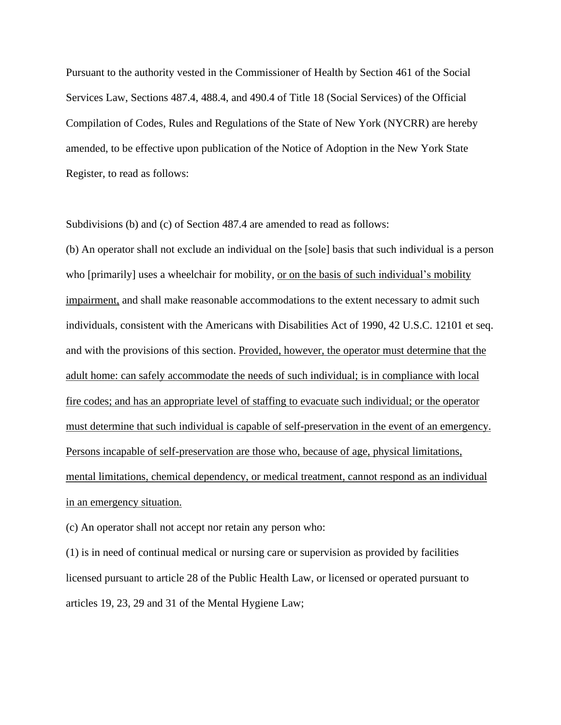Pursuant to the authority vested in the Commissioner of Health by Section 461 of the Social Services Law, Sections 487.4, 488.4, and 490.4 of Title 18 (Social Services) of the Official Compilation of Codes, Rules and Regulations of the State of New York (NYCRR) are hereby amended, to be effective upon publication of the Notice of Adoption in the New York State Register, to read as follows:

Subdivisions (b) and (c) of Section 487.4 are amended to read as follows:

(b) An operator shall not exclude an individual on the [sole] basis that such individual is a person who [primarily] uses a wheelchair for mobility, or on the basis of such individual's mobility impairment, and shall make reasonable accommodations to the extent necessary to admit such individuals, consistent with the Americans with Disabilities Act of 1990, 42 U.S.C. 12101 et seq. and with the provisions of this section. Provided, however, the operator must determine that the adult home: can safely accommodate the needs of such individual; is in compliance with local fire codes; and has an appropriate level of staffing to evacuate such individual; or the operator must determine that such individual is capable of self-preservation in the event of an emergency. Persons incapable of self-preservation are those who, because of age, physical limitations, mental limitations, chemical dependency, or medical treatment, cannot respond as an individual in an emergency situation.

(c) An operator shall not accept nor retain any person who:

(1) is in need of continual medical or nursing care or supervision as provided by facilities licensed pursuant to article 28 of the Public Health Law, or licensed or operated pursuant to articles 19, 23, 29 and 31 of the Mental Hygiene Law;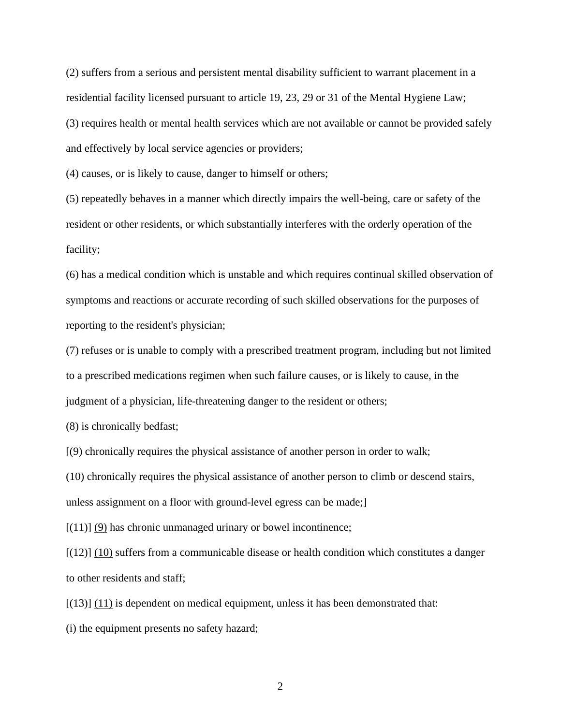(2) suffers from a serious and persistent mental disability sufficient to warrant placement in a residential facility licensed pursuant to article 19, 23, 29 or 31 of the Mental Hygiene Law; (3) requires health or mental health services which are not available or cannot be provided safely and effectively by local service agencies or providers;

(4) causes, or is likely to cause, danger to himself or others;

(5) repeatedly behaves in a manner which directly impairs the well-being, care or safety of the resident or other residents, or which substantially interferes with the orderly operation of the facility;

(6) has a medical condition which is unstable and which requires continual skilled observation of symptoms and reactions or accurate recording of such skilled observations for the purposes of reporting to the resident's physician;

(7) refuses or is unable to comply with a prescribed treatment program, including but not limited to a prescribed medications regimen when such failure causes, or is likely to cause, in the judgment of a physician, life-threatening danger to the resident or others;

(8) is chronically bedfast;

[(9) chronically requires the physical assistance of another person in order to walk;

(10) chronically requires the physical assistance of another person to climb or descend stairs, unless assignment on a floor with ground-level egress can be made;]

 $[(11)]$  (9) has chronic unmanaged urinary or bowel incontinence;

 $[(12)]$   $(10)$  suffers from a communicable disease or health condition which constitutes a danger to other residents and staff;

 $[(13)] (11)$  is dependent on medical equipment, unless it has been demonstrated that:

(i) the equipment presents no safety hazard;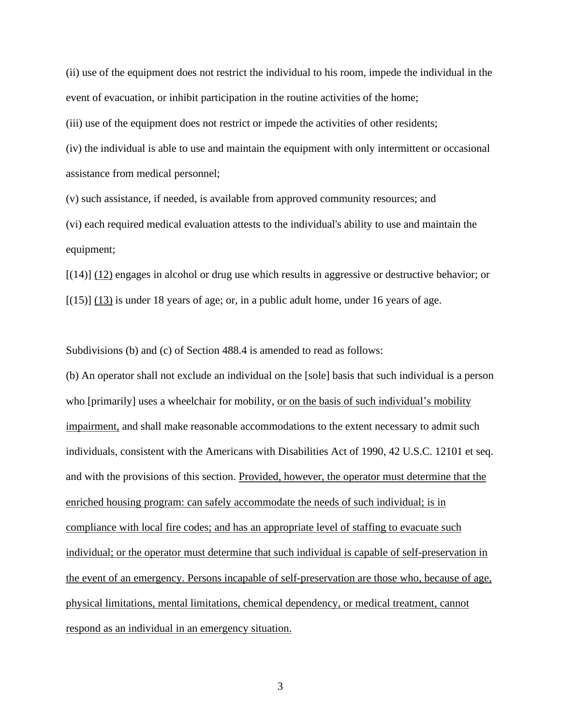(ii) use of the equipment does not restrict the individual to his room, impede the individual in the event of evacuation, or inhibit participation in the routine activities of the home;

(iii) use of the equipment does not restrict or impede the activities of other residents;

(iv) the individual is able to use and maintain the equipment with only intermittent or occasional assistance from medical personnel;

(v) such assistance, if needed, is available from approved community resources; and

(vi) each required medical evaluation attests to the individual's ability to use and maintain the equipment;

[(14)] (12) engages in alcohol or drug use which results in aggressive or destructive behavior; or  $[(15)]$   $(13)$  is under 18 years of age; or, in a public adult home, under 16 years of age.

Subdivisions (b) and (c) of Section 488.4 is amended to read as follows:

(b) An operator shall not exclude an individual on the [sole] basis that such individual is a person who [primarily] uses a wheelchair for mobility, or on the basis of such individual's mobility impairment, and shall make reasonable accommodations to the extent necessary to admit such individuals, consistent with the Americans with Disabilities Act of 1990, 42 U.S.C. 12101 et seq. and with the provisions of this section. Provided, however, the operator must determine that the enriched housing program: can safely accommodate the needs of such individual; is in compliance with local fire codes; and has an appropriate level of staffing to evacuate such individual; or the operator must determine that such individual is capable of self-preservation in the event of an emergency. Persons incapable of self-preservation are those who, because of age, physical limitations, mental limitations, chemical dependency, or medical treatment, cannot respond as an individual in an emergency situation.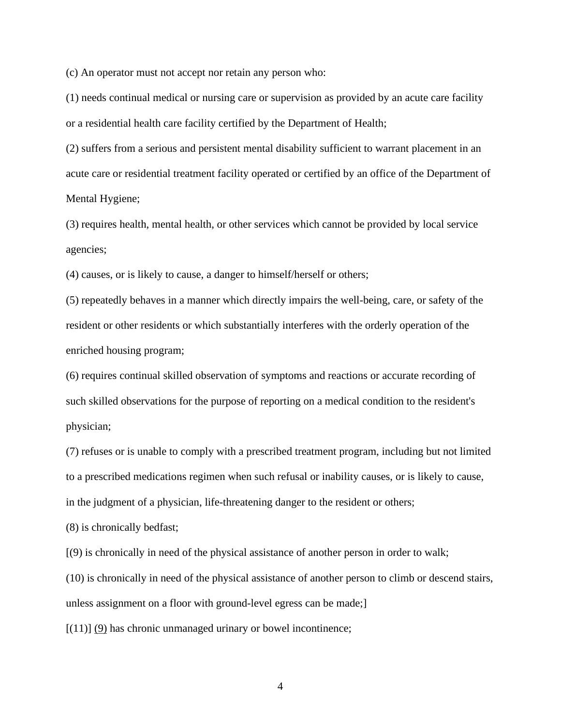(c) An operator must not accept nor retain any person who:

(1) needs continual medical or nursing care or supervision as provided by an acute care facility or a residential health care facility certified by the Department of Health;

(2) suffers from a serious and persistent mental disability sufficient to warrant placement in an acute care or residential treatment facility operated or certified by an office of the Department of Mental Hygiene;

(3) requires health, mental health, or other services which cannot be provided by local service agencies;

(4) causes, or is likely to cause, a danger to himself/herself or others;

(5) repeatedly behaves in a manner which directly impairs the well-being, care, or safety of the resident or other residents or which substantially interferes with the orderly operation of the enriched housing program;

(6) requires continual skilled observation of symptoms and reactions or accurate recording of such skilled observations for the purpose of reporting on a medical condition to the resident's physician;

(7) refuses or is unable to comply with a prescribed treatment program, including but not limited to a prescribed medications regimen when such refusal or inability causes, or is likely to cause, in the judgment of a physician, life-threatening danger to the resident or others;

(8) is chronically bedfast;

[(9) is chronically in need of the physical assistance of another person in order to walk;

(10) is chronically in need of the physical assistance of another person to climb or descend stairs,

unless assignment on a floor with ground-level egress can be made;]

 $[(11)]$   $(9)$  has chronic unmanaged urinary or bowel incontinence;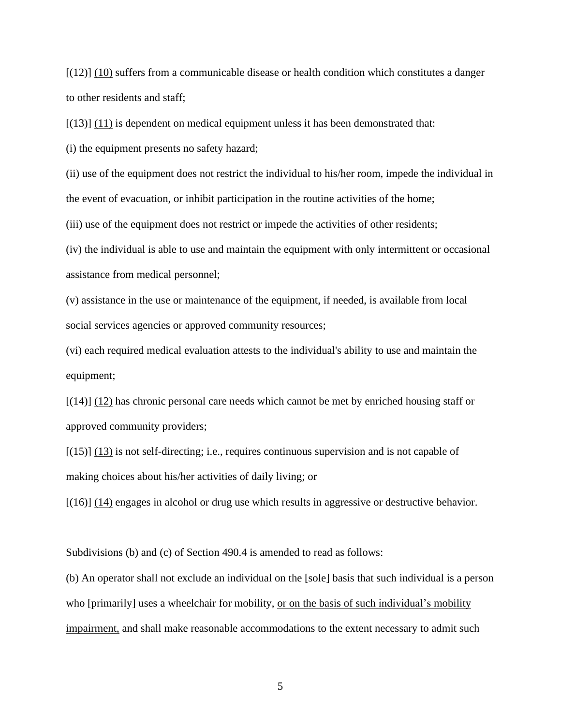$[(12)]$  (10) suffers from a communicable disease or health condition which constitutes a danger to other residents and staff;

 $[(13)]$   $(11)$  is dependent on medical equipment unless it has been demonstrated that:

(i) the equipment presents no safety hazard;

(ii) use of the equipment does not restrict the individual to his/her room, impede the individual in the event of evacuation, or inhibit participation in the routine activities of the home;

(iii) use of the equipment does not restrict or impede the activities of other residents;

(iv) the individual is able to use and maintain the equipment with only intermittent or occasional assistance from medical personnel;

(v) assistance in the use or maintenance of the equipment, if needed, is available from local social services agencies or approved community resources;

(vi) each required medical evaluation attests to the individual's ability to use and maintain the equipment;

[(14)] (12) has chronic personal care needs which cannot be met by enriched housing staff or approved community providers;

 $[(15)]$   $(13)$  is not self-directing; i.e., requires continuous supervision and is not capable of making choices about his/her activities of daily living; or

 $[(16)]$   $(14)$  engages in alcohol or drug use which results in aggressive or destructive behavior.

Subdivisions (b) and (c) of Section 490.4 is amended to read as follows:

(b) An operator shall not exclude an individual on the [sole] basis that such individual is a person who [primarily] uses a wheelchair for mobility, <u>or on the basis of such individual's mobility</u> impairment, and shall make reasonable accommodations to the extent necessary to admit such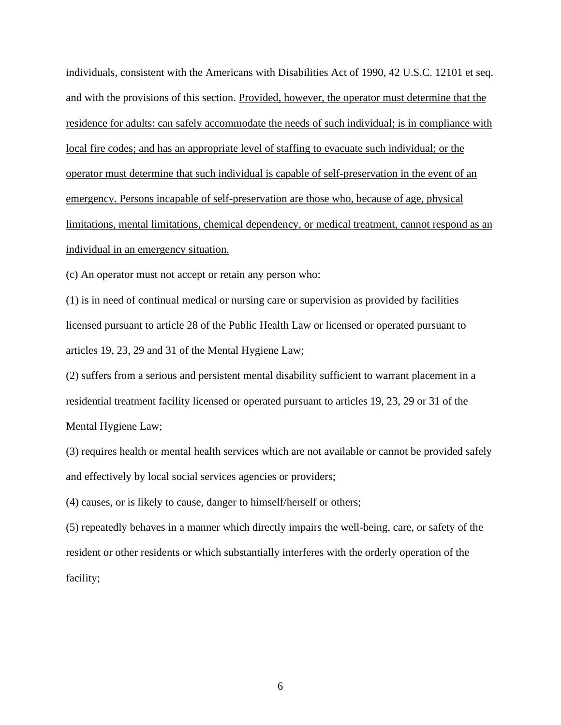individuals, consistent with the Americans with Disabilities Act of 1990, 42 U.S.C. 12101 et seq. and with the provisions of this section. Provided, however, the operator must determine that the residence for adults: can safely accommodate the needs of such individual; is in compliance with local fire codes; and has an appropriate level of staffing to evacuate such individual; or the operator must determine that such individual is capable of self-preservation in the event of an emergency. Persons incapable of self-preservation are those who, because of age, physical limitations, mental limitations, chemical dependency, or medical treatment, cannot respond as an individual in an emergency situation.

(c) An operator must not accept or retain any person who:

(1) is in need of continual medical or nursing care or supervision as provided by facilities licensed pursuant to article 28 of the Public Health Law or licensed or operated pursuant to articles 19, 23, 29 and 31 of the Mental Hygiene Law;

(2) suffers from a serious and persistent mental disability sufficient to warrant placement in a residential treatment facility licensed or operated pursuant to articles 19, 23, 29 or 31 of the Mental Hygiene Law;

(3) requires health or mental health services which are not available or cannot be provided safely and effectively by local social services agencies or providers;

(4) causes, or is likely to cause, danger to himself/herself or others;

(5) repeatedly behaves in a manner which directly impairs the well-being, care, or safety of the resident or other residents or which substantially interferes with the orderly operation of the facility;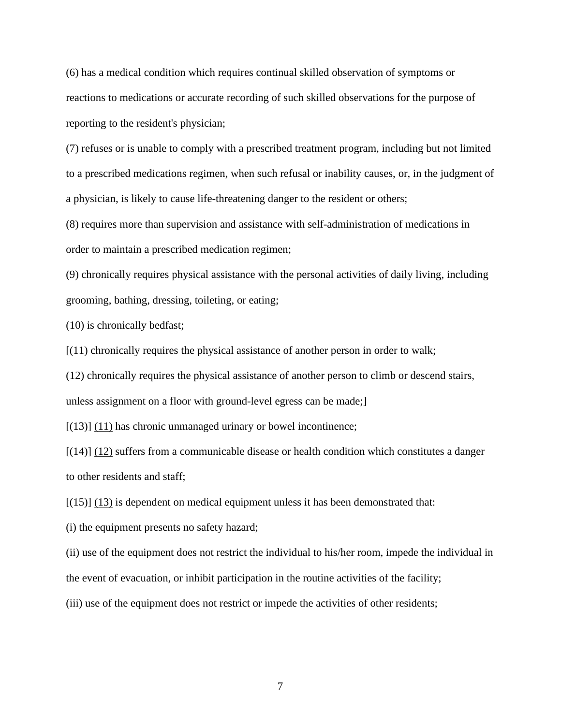(6) has a medical condition which requires continual skilled observation of symptoms or reactions to medications or accurate recording of such skilled observations for the purpose of reporting to the resident's physician;

(7) refuses or is unable to comply with a prescribed treatment program, including but not limited to a prescribed medications regimen, when such refusal or inability causes, or, in the judgment of a physician, is likely to cause life-threatening danger to the resident or others;

(8) requires more than supervision and assistance with self-administration of medications in order to maintain a prescribed medication regimen;

(9) chronically requires physical assistance with the personal activities of daily living, including grooming, bathing, dressing, toileting, or eating;

(10) is chronically bedfast;

[(11) chronically requires the physical assistance of another person in order to walk;

(12) chronically requires the physical assistance of another person to climb or descend stairs, unless assignment on a floor with ground-level egress can be made;]

 $[(13)]$   $(11)$  has chronic unmanaged urinary or bowel incontinence;

[(14)] (12) suffers from a communicable disease or health condition which constitutes a danger to other residents and staff;

 $[(15)]$   $(13)$  is dependent on medical equipment unless it has been demonstrated that:

(i) the equipment presents no safety hazard;

(ii) use of the equipment does not restrict the individual to his/her room, impede the individual in the event of evacuation, or inhibit participation in the routine activities of the facility;

(iii) use of the equipment does not restrict or impede the activities of other residents;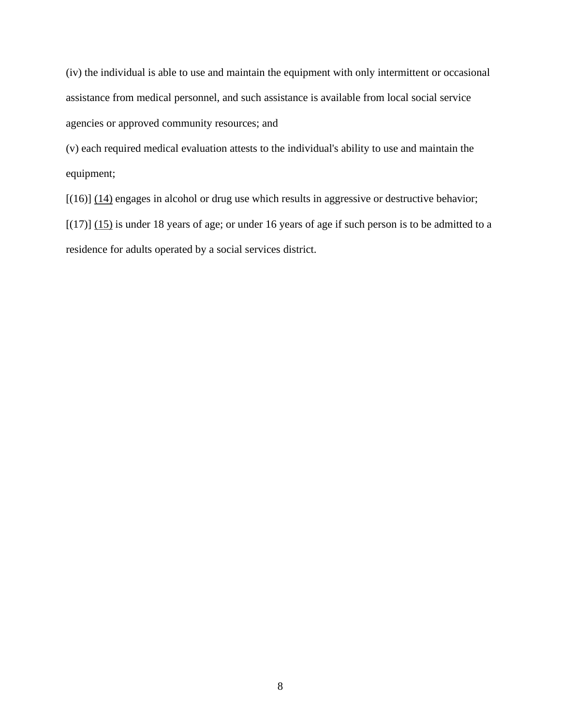(iv) the individual is able to use and maintain the equipment with only intermittent or occasional assistance from medical personnel, and such assistance is available from local social service agencies or approved community resources; and

(v) each required medical evaluation attests to the individual's ability to use and maintain the equipment;

 $[(16)]$   $(14)$  engages in alcohol or drug use which results in aggressive or destructive behavior;

 $[(17)]$   $(15)$  is under 18 years of age; or under 16 years of age if such person is to be admitted to a residence for adults operated by a social services district.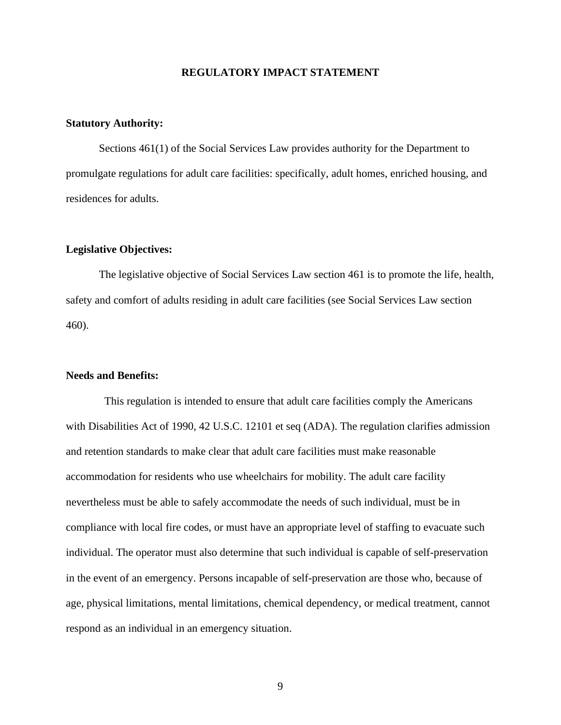#### **REGULATORY IMPACT STATEMENT**

#### **Statutory Authority:**

Sections 461(1) of the Social Services Law provides authority for the Department to promulgate regulations for adult care facilities: specifically, adult homes, enriched housing, and residences for adults.

#### **Legislative Objectives:**

The legislative objective of Social Services Law section 461 is to promote the life, health, safety and comfort of adults residing in adult care facilities (see Social Services Law section 460).

#### **Needs and Benefits:**

 This regulation is intended to ensure that adult care facilities comply the Americans with Disabilities Act of 1990, 42 U.S.C. 12101 et seq (ADA). The regulation clarifies admission and retention standards to make clear that adult care facilities must make reasonable accommodation for residents who use wheelchairs for mobility. The adult care facility nevertheless must be able to safely accommodate the needs of such individual, must be in compliance with local fire codes, or must have an appropriate level of staffing to evacuate such individual. The operator must also determine that such individual is capable of self-preservation in the event of an emergency. Persons incapable of self-preservation are those who, because of age, physical limitations, mental limitations, chemical dependency, or medical treatment, cannot respond as an individual in an emergency situation.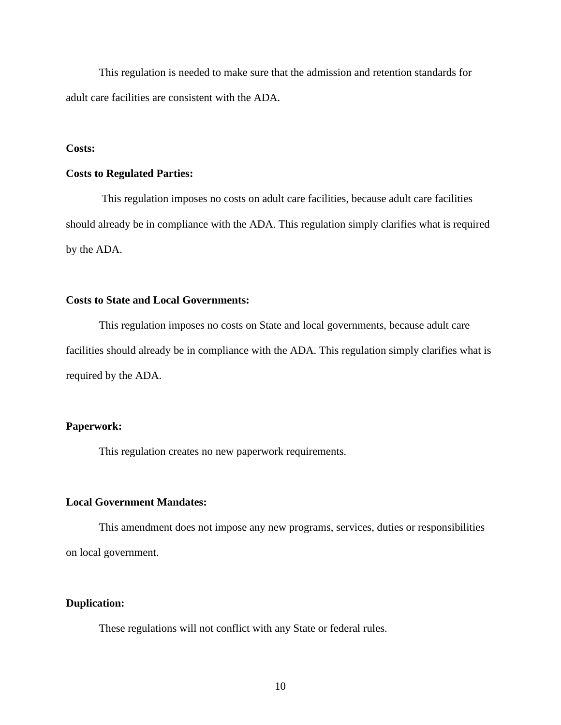This regulation is needed to make sure that the admission and retention standards for adult care facilities are consistent with the ADA.

#### **Costs:**

#### **Costs to Regulated Parties:**

This regulation imposes no costs on adult care facilities, because adult care facilities should already be in compliance with the ADA. This regulation simply clarifies what is required by the ADA.

#### **Costs to State and Local Governments:**

This regulation imposes no costs on State and local governments, because adult care facilities should already be in compliance with the ADA. This regulation simply clarifies what is required by the ADA.

#### **Paperwork:**

This regulation creates no new paperwork requirements.

#### **Local Government Mandates:**

This amendment does not impose any new programs, services, duties or responsibilities on local government.

#### **Duplication:**

These regulations will not conflict with any State or federal rules.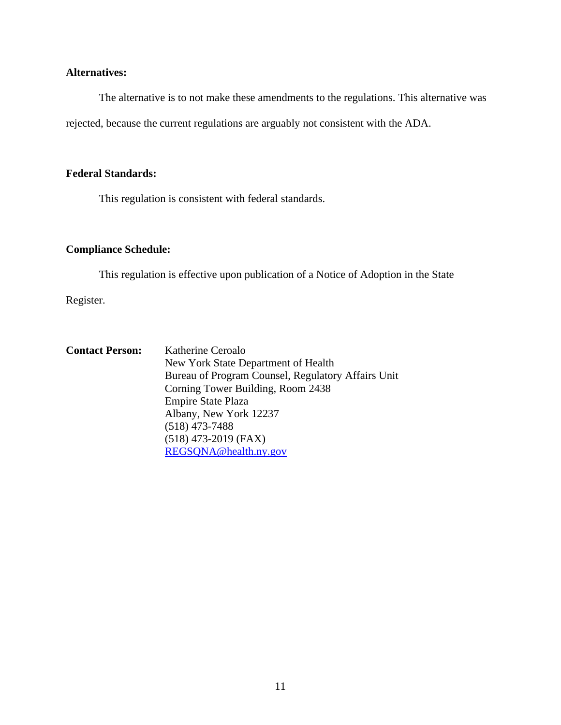## **Alternatives:**

The alternative is to not make these amendments to the regulations. This alternative was rejected, because the current regulations are arguably not consistent with the ADA.

### **Federal Standards:**

This regulation is consistent with federal standards.

## **Compliance Schedule:**

This regulation is effective upon publication of a Notice of Adoption in the State

Register.

| <b>Contact Person:</b> | Katherine Ceroalo                                  |
|------------------------|----------------------------------------------------|
|                        | New York State Department of Health                |
|                        | Bureau of Program Counsel, Regulatory Affairs Unit |
|                        | Corning Tower Building, Room 2438                  |
|                        | <b>Empire State Plaza</b>                          |
|                        | Albany, New York 12237                             |
|                        | $(518)$ 473-7488                                   |
|                        | $(518)$ 473-2019 (FAX)                             |
|                        | REGSONA@health.ny.gov                              |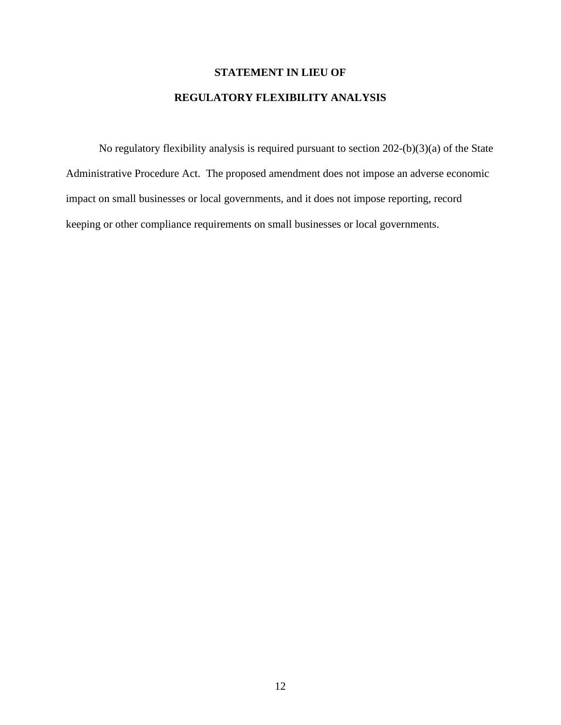## **STATEMENT IN LIEU OF**

## **REGULATORY FLEXIBILITY ANALYSIS**

No regulatory flexibility analysis is required pursuant to section 202-(b)(3)(a) of the State Administrative Procedure Act. The proposed amendment does not impose an adverse economic impact on small businesses or local governments, and it does not impose reporting, record keeping or other compliance requirements on small businesses or local governments.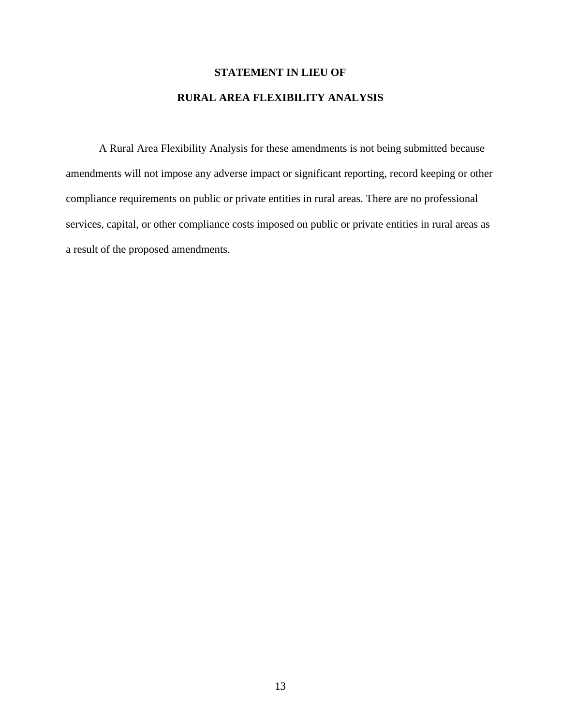# **STATEMENT IN LIEU OF RURAL AREA FLEXIBILITY ANALYSIS**

A Rural Area Flexibility Analysis for these amendments is not being submitted because amendments will not impose any adverse impact or significant reporting, record keeping or other compliance requirements on public or private entities in rural areas. There are no professional services, capital, or other compliance costs imposed on public or private entities in rural areas as a result of the proposed amendments.